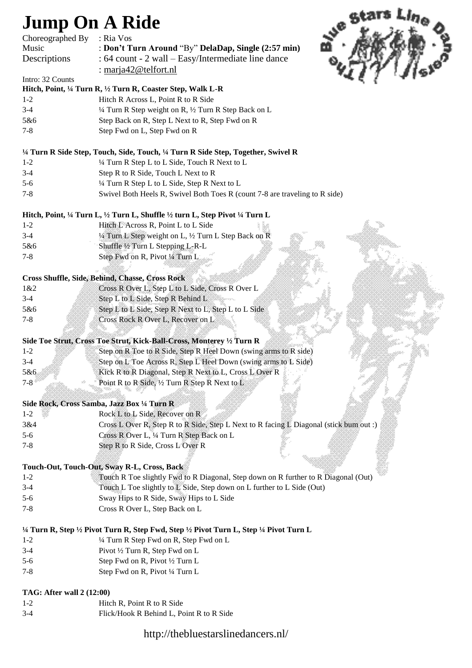# **Jump On A Ride**

| Choreographed By | : Ria Vos                                                                  |
|------------------|----------------------------------------------------------------------------|
| Music            | : Don't Turn Around "By" DelaDap, Single (2:57 min)                        |
| Descriptions     | : 64 count - 2 wall – Easy/Intermediate line dance                         |
|                  | : marja $42@$ telfort.nl                                                   |
| Intro: 32 Counts |                                                                            |
|                  | Hitch, Point, 1/4 Turn R, 1/2 Turn R, Coaster Step, Walk L-R               |
| $1-2$            | Hitch R Across L, Point R to R Side                                        |
| $3-4$            | $\frac{1}{4}$ Turn R Step weight on R, $\frac{1}{2}$ Turn R Step Back on L |
| 5&6              | Step Back on R. Step L Next to R. Step Fwd on R                            |



5&6 Step Back on R, Step L Next to R, Step Fwd on R 7-8 Step Fwd on L, Step Fwd on R

#### **¼ Turn R Side Step, Touch, Side, Touch, ¼ Turn R Side Step, Together, Swivel R**

- 1-2 ¼ Turn R Step L to L Side, Touch R Next to L
- 3-4 Step R to R Side, Touch L Next to R
- 5-6 ¼ Turn R Step L to L Side, Step R Next to L
- 7-8 Swivel Both Heels R, Swivel Both Toes R (count 7-8 are traveling to R side)

#### **Hitch, Point, ¼ Turn L, ½ Turn L, Shuffle ½ turn L, Step Pivot ¼ Turn L**

1-2 Hitch L Across R, Point L to L Side 3-4 ¼ Turn L Step weight on L, ½ Turn L Step Back on R 5&6 Shuffle ½ Turn L Stepping L-R-L 7-8 Step Fwd on R, Pivot ¼ Turn L

#### **Cross Shuffle, Side, Behind, Chasse, Cross Rock**

| 1 & 2   | Cross R Over L, Step L to L Side, Cross R Over L     |
|---------|------------------------------------------------------|
| $3-4$   | Step L to L Side, Step R Behind L                    |
| 5&6     | Step L to L Side, Step R Next to L, Step L to L Side |
| $7 - 8$ | Cross Rock R Over L, Recover on L                    |

### **Side Toe Strut, Cross Toe Strut, Kick-Ball-Cross, Monterey ½ Turn R**

| $1 - 2$ |  |                                                           | Step on R Toe to R Side, Step R Heel Down (swing arms to R side) |  |
|---------|--|-----------------------------------------------------------|------------------------------------------------------------------|--|
| $3-4$   |  |                                                           | Step on L Toe Across R, Step L Heel Down (swing arms to L Side)  |  |
| 5&6.    |  |                                                           | Kick R to R Diagonal, Step R Next to L, Cross L Over R           |  |
| $7 - 8$ |  | Point R to R Side, $\frac{1}{2}$ Turn R Step R Next to L. |                                                                  |  |
|         |  |                                                           |                                                                  |  |

#### **Side Rock, Cross Samba, Jazz Box ¼ Turn R**

| $1 - 2$ | ▓ | Rock L to L Side, Recover on R<br>xxxxxx                                               | ,,,,,,,,,, |                     |
|---------|---|----------------------------------------------------------------------------------------|------------|---------------------|
| 3&4     |   | Cross L Over R, Step R to R Side, Step L Next to R facing L Diagonal (stick bum out :) |            |                     |
| $5 - 6$ |   | Cross R Over L, $\frac{1}{4}$ Turn R Step Back on L                                    |            |                     |
| $7 - 8$ |   | Step R to R Side, Cross L Over R                                                       |            | : 2006.2006.2006.20 |

### **Touch-Out, Touch-Out, Sway R-L, Cross, Back**

- 1-2 Touch R Toe slightly Fwd to R Diagonal, Step down on R further to R Diagonal (Out) 3-4 Touch L Toe slightly to L Side, Step down on L further to L Side (Out)
- 5-6 Sway Hips to R Side, Sway Hips to L Side
- 7-8 Cross R Over L, Step Back on L

## **¼ Turn R, Step ½ Pivot Turn R, Step Fwd, Step ½ Pivot Turn L, Step ¼ Pivot Turn L**

- 1-2 ¼ Turn R Step Fwd on R, Step Fwd on L
- 3-4 Pivot ½ Turn R, Step Fwd on L
- 5-6 Step Fwd on R, Pivot ½ Turn L
- 7-8 Step Fwd on R, Pivot ¼ Turn L

## **TAG: After wall 2 (12:00)**

- 1-2 Hitch R, Point R to R Side
- 3-4 Flick/Hook R Behind L, Point R to R Side

## http://thebluestarslinedancers.nl/